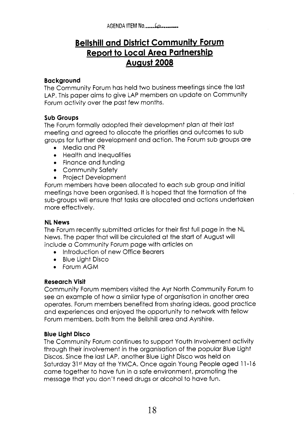AGENDA **ITEM No .....................** 

# **Bellshill and District Community Forum Report to Local Area Partnership Auaust 2008**

### **Background**

The Community Forum has held two business meetings since the last LAP. This paper aims to give LAP members an update on Community Forum activity over the past few months.

#### **Sub Groups**

The Forum formally adopted their development plan at their last meeting and agreed to allocate the priorities and outcomes to sub groups for further development and action. The Forum sub groups are

- Media and PR
- Health and Inequalities
- **•** Finance and funding
- Community Safety
- **•** Project Development

Forum members have been allocated to each sub group and initial meetings have been organised. It is hoped that the formation of the sub-groups will ensure that tasks are allocated and actions undertaken more effectively.

# **NL News**

The Forum recently submitted articles for their first full page in the NL News. The paper that will be circulated at the start of August will include a Community Forum page with articles on

- **•** Introduction of new Office Bearers
- **0**Blue Light Disco
- **•** Forum AGM

# **Research Visit**

Community Forum members visited the Ayr North Community Forum to see an example of how a similar type of organisation in another area operates. Forum members benefited from sharing ideas, good practice and experiences and enjoyed the opportunity to network with fellow Forum members, both from the Bellshill area and Ayrshire.

# **Blue Light Disco**

The Community Forum continues to support Youth Involvement activity through their involvement in the organisation of the popular Blue Light Discos. Since the last LAP, another Blue Light Disco was held on Saturday 31st May at the YMCA. Once again Young People aged 11-16 came together to have fun in a safe environment, promoting the message that you don't need drugs or alcohol to have fun.